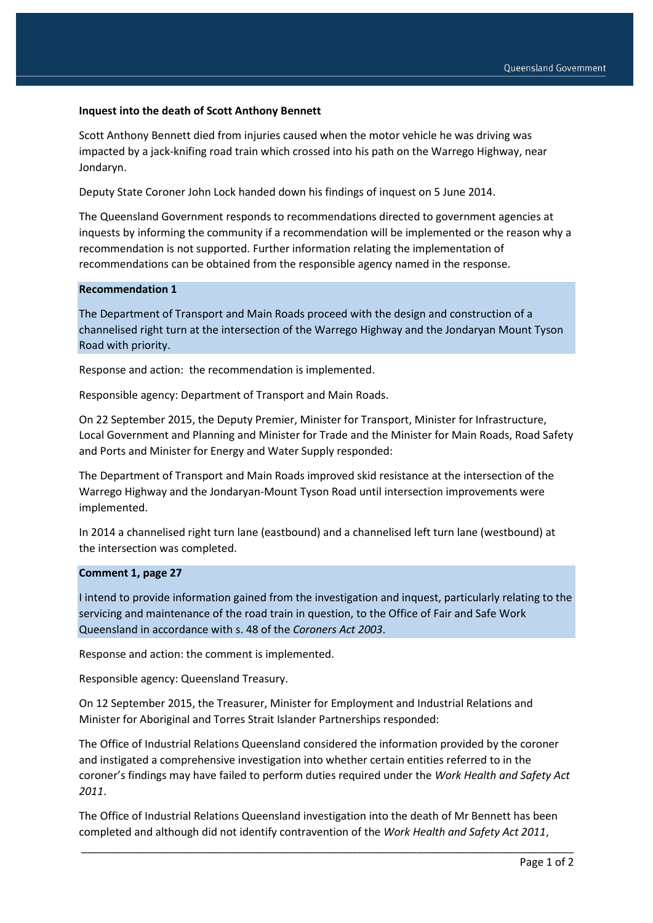## **Inquest into the death of Scott Anthony Bennett**

Scott Anthony Bennett died from injuries caused when the motor vehicle he was driving was impacted by a jack-knifing road train which crossed into his path on the Warrego Highway, near Jondaryn.

Deputy State Coroner John Lock handed down his findings of inquest on 5 June 2014.

The Queensland Government responds to recommendations directed to government agencies at inquests by informing the community if a recommendation will be implemented or the reason why a recommendation is not supported. Further information relating the implementation of recommendations can be obtained from the responsible agency named in the response.

## **Recommendation 1**

The Department of Transport and Main Roads proceed with the design and construction of a channelised right turn at the intersection of the Warrego Highway and the Jondaryan Mount Tyson Road with priority.

Response and action: the recommendation is implemented.

Responsible agency: Department of Transport and Main Roads.

On 22 September 2015, the Deputy Premier, Minister for Transport, Minister for Infrastructure, Local Government and Planning and Minister for Trade and the Minister for Main Roads, Road Safety and Ports and Minister for Energy and Water Supply responded:

The Department of Transport and Main Roads improved skid resistance at the intersection of the Warrego Highway and the Jondaryan-Mount Tyson Road until intersection improvements were implemented.

In 2014 a channelised right turn lane (eastbound) and a channelised left turn lane (westbound) at the intersection was completed.

## **Comment 1, page 27**

I intend to provide information gained from the investigation and inquest, particularly relating to the servicing and maintenance of the road train in question, to the Office of Fair and Safe Work Queensland in accordance with s. 48 of the *Coroners Act 2003*.

Response and action: the comment is implemented.

Responsible agency: Queensland Treasury.

On 12 September 2015, the Treasurer, Minister for Employment and Industrial Relations and Minister for Aboriginal and Torres Strait Islander Partnerships responded:

The Office of Industrial Relations Queensland considered the information provided by the coroner and instigated a comprehensive investigation into whether certain entities referred to in the coroner's findings may have failed to perform duties required under the *Work Health and Safety Act 2011*.

The Office of Industrial Relations Queensland investigation into the death of Mr Bennett has been completed and although did not identify contravention of the *Work Health and Safety Act 2011*,

\_\_\_\_\_\_\_\_\_\_\_\_\_\_\_\_\_\_\_\_\_\_\_\_\_\_\_\_\_\_\_\_\_\_\_\_\_\_\_\_\_\_\_\_\_\_\_\_\_\_\_\_\_\_\_\_\_\_\_\_\_\_\_\_\_\_\_\_\_\_\_\_\_\_\_\_\_\_\_\_\_\_